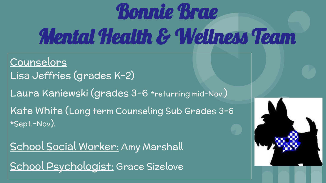# Bonnie Brae Mental Health & Wellness Team

Counselors Lisa Jeffries (grades K-2) Laura Kaniewski (grades 3-6 \*returning mid-Nov.) Kate White (Long term Counseling Sub Grades 3-6 \*Sept.-Nov).

School Social Worker: Amy Marshall School Psychologist: Grace Sizelove

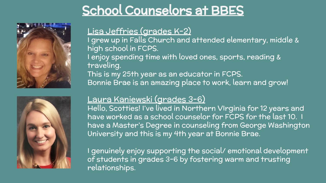#### School Counselors at BBES





#### Lisa Jeffries (grades K-2)

I grew up in Falls Church and attended elementary, middle & high school in FCPS.

I enjoy spending time with loved ones, sports, reading & traveling.

This is my 25th year as an educator in FCPS. Bonnie Brae is an amazing place to work, learn and grow!

#### Laura Kaniewski (grades 3-6)

Hello, Scotties! I've lived in Northern VIrginia for 12 years and have worked as a school counselor for FCPS for the last 10. I have a Master's Degree in counseling from George Washington University and this is my 4th year at Bonnie Brae.

I genuinely enjoy supporting the social/ emotional development of students in grades 3-6 by fostering warm and trusting relationships.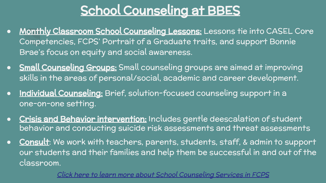#### School Counseling at BBES

- **Monthly Classroom School Counseling Lessons:** Lessons tie into CASEL Core Competencies, FCPS' Portrait of a Graduate traits, and support Bonnie Brae's focus on equity and social awareness.
- **Small Counseling Groups:** Small counseling groups are aimed at improving skills in the areas of personal/social, academic and career development.
- Individual Counseling: Brief, solution-focused counseling support in a one-on-one setting.
- **Crisis and Behavior intervention:** Includes gentle deescalation of student behavior and conducting suicide risk assessments and threat assessments
- Consult: We work with teachers, parents, students, staff, & admin to support our students and their families and help them be successful in and out of the classroom.

[Click here to learn more about School Counseling Services in FCPS](https://www.fcps.edu/academics/school-counseling-services)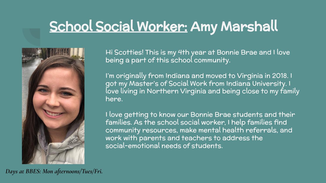### School Social Worker: Amy Marshall



Hi Scotties! This is my 4th year at Bonnie Brae and I love being a part of this school community.

I'm originally from Indiana and moved to Virginia in 2018. I got my Master's of Social Work from Indiana University. I love living in Northern Virginia and being close to my family here.

I love getting to know our Bonnie Brae students and their families. As the school social worker, I help families find community resources, make mental health referrals, and work with parents and teachers to address the social-emotional needs of students.

*Days at BBES: Mon afternoons/Tues/Fri.*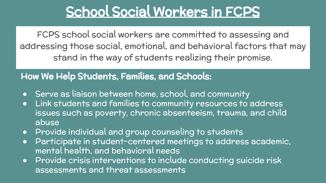#### School Social Workers in FCPS

FCPS school social workers are committed to assessing and addressing those social, emotional, and behavioral factors that may stand in the way of students realizing their promise.

#### How We Help Students, Families, and Schools:

- Serve as liaison between home, school, and community
- Link students and families to community resources to address issues such as poverty, chronic absenteeism, trauma, and child abuse
- Provide individual and group counseling to students
- Participate in student-centered meetings to address academic, mental health, and behavioral needs
- Provide crisis interventions to include conducting suicide risk assessments and threat assessments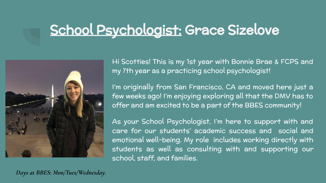### School Psychologist: Grace Sizelove



Hi Scotties! This is my 1st year with Bonnie Brae & FCPS and my 7th year as a practicing school psychologist!

I'm originally from San Francisco, CA and moved here just a few weeks ago! I'm enjoying exploring all that the DMV has to offer and am excited to be a part of the BBES community!

As your School Psychologist, I'm here to support with and care for our students' academic success and social and emotional well-being. My role includes working directly with students as well as consulting with and supporting our school, staff, and families.

*Days at BBES: Mon/Tues/Wednesday.*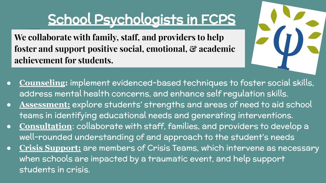### School Psychologists in FCPS

**We collaborate with family, staff, and providers to help foster and support positive social, emotional, & academic achievement for students.**



- **Counseling:** implement evidenced-based techniques to foster social skills, address mental health concerns, and enhance self regulation skills.
- **Assessment:** explore students' strengths and areas of need to aid school teams in identifying educational needs and generating interventions.
- **Consultation**: collaborate with staff, families, and providers to develop a well-rounded understanding of and approach to the student's needs
- **Crisis Support:** are members of Crisis Teams, which intervene as necessary when schools are impacted by a traumatic event, and help support students in crisis.